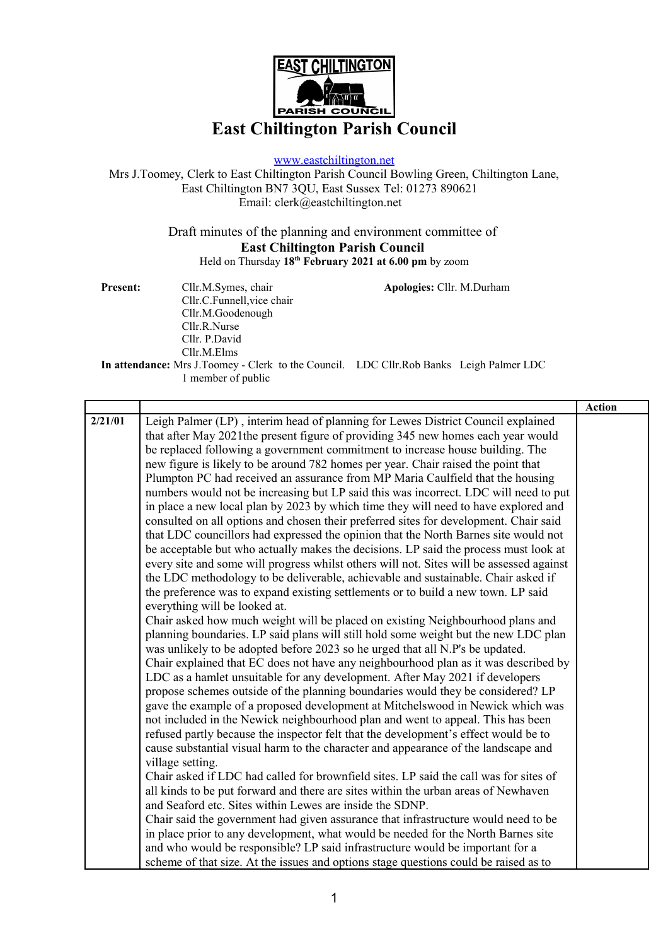

## **East Chiltington Parish Council**

[www.eastchiltington.net](http://www.eastchiltington.net/)

Mrs J.Toomey, Clerk to East Chiltington Parish Council Bowling Green, Chiltington Lane, East Chiltington BN7 3QU, East Sussex Tel: 01273 890621 Email: cler[k@eastchiltington.net](mailto:jt@chiltington.wanadoo.co.uk) 

> Draft minutes of the planning and environment committee of **East Chiltington Parish Council** Held on Thursday **18th February 2021 at 6.00 pm** by zoom

| <b>Present:</b> | Cllr.M.Symes, chair                                                                     | Apologies: Cllr. M.Durham |  |  |
|-----------------|-----------------------------------------------------------------------------------------|---------------------------|--|--|
|                 | Cllr.C.Funnell, vice chair                                                              |                           |  |  |
|                 | Cllr.M.Goodenough                                                                       |                           |  |  |
|                 | Cllr.R.Nurse                                                                            |                           |  |  |
|                 | Cllr. P.David                                                                           |                           |  |  |
|                 | Cllr.M.Elms                                                                             |                           |  |  |
|                 | In attendance: Mrs J.Toomey - Clerk to the Council. LDC Cllr.Rob Banks Leigh Palmer LDC |                           |  |  |
|                 |                                                                                         |                           |  |  |

1 member of public

|         |                                                                                          | <b>Action</b> |
|---------|------------------------------------------------------------------------------------------|---------------|
| 2/21/01 | Leigh Palmer (LP), interim head of planning for Lewes District Council explained         |               |
|         | that after May 2021 the present figure of providing 345 new homes each year would        |               |
|         | be replaced following a government commitment to increase house building. The            |               |
|         | new figure is likely to be around 782 homes per year. Chair raised the point that        |               |
|         | Plumpton PC had received an assurance from MP Maria Caulfield that the housing           |               |
|         | numbers would not be increasing but LP said this was incorrect. LDC will need to put     |               |
|         | in place a new local plan by 2023 by which time they will need to have explored and      |               |
|         | consulted on all options and chosen their preferred sites for development. Chair said    |               |
|         | that LDC councillors had expressed the opinion that the North Barnes site would not      |               |
|         | be acceptable but who actually makes the decisions. LP said the process must look at     |               |
|         | every site and some will progress whilst others will not. Sites will be assessed against |               |
|         | the LDC methodology to be deliverable, achievable and sustainable. Chair asked if        |               |
|         | the preference was to expand existing settlements or to build a new town. LP said        |               |
|         | everything will be looked at.                                                            |               |
|         | Chair asked how much weight will be placed on existing Neighbourhood plans and           |               |
|         | planning boundaries. LP said plans will still hold some weight but the new LDC plan      |               |
|         | was unlikely to be adopted before 2023 so he urged that all N.P's be updated.            |               |
|         | Chair explained that EC does not have any neighbourhood plan as it was described by      |               |
|         | LDC as a hamlet unsuitable for any development. After May 2021 if developers             |               |
|         | propose schemes outside of the planning boundaries would they be considered? LP          |               |
|         | gave the example of a proposed development at Mitchelswood in Newick which was           |               |
|         | not included in the Newick neighbourhood plan and went to appeal. This has been          |               |
|         | refused partly because the inspector felt that the development's effect would be to      |               |
|         | cause substantial visual harm to the character and appearance of the landscape and       |               |
|         | village setting.                                                                         |               |
|         | Chair asked if LDC had called for brownfield sites. LP said the call was for sites of    |               |
|         | all kinds to be put forward and there are sites within the urban areas of Newhaven       |               |
|         | and Seaford etc. Sites within Lewes are inside the SDNP.                                 |               |
|         | Chair said the government had given assurance that infrastructure would need to be       |               |
|         | in place prior to any development, what would be needed for the North Barnes site        |               |
|         | and who would be responsible? LP said infrastructure would be important for a            |               |
|         | scheme of that size. At the issues and options stage questions could be raised as to     |               |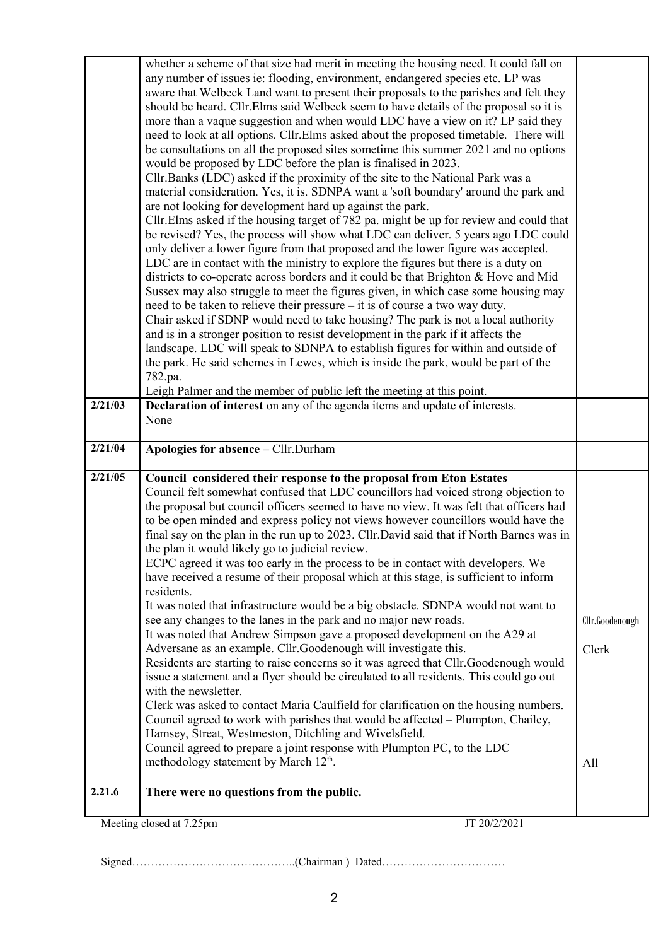| 2.21.6  | the plan it would likely go to judicial review.<br>ECPC agreed it was too early in the process to be in contact with developers. We<br>have received a resume of their proposal which at this stage, is sufficient to inform<br>residents.<br>It was noted that infrastructure would be a big obstacle. SDNPA would not want to<br>see any changes to the lanes in the park and no major new roads.<br>It was noted that Andrew Simpson gave a proposed development on the A29 at<br>Adversane as an example. Cllr. Goodenough will investigate this.<br>Residents are starting to raise concerns so it was agreed that Cllr.Goodenough would<br>issue a statement and a flyer should be circulated to all residents. This could go out<br>with the newsletter.<br>Clerk was asked to contact Maria Caulfield for clarification on the housing numbers.<br>Council agreed to work with parishes that would be affected - Plumpton, Chailey,<br>Hamsey, Streat, Westmeston, Ditchling and Wivelsfield.<br>Council agreed to prepare a joint response with Plumpton PC, to the LDC<br>methodology statement by March 12 <sup>th</sup> .<br>There were no questions from the public. | Cllr.Goodenough<br>Clerk<br>All |
|---------|-----------------------------------------------------------------------------------------------------------------------------------------------------------------------------------------------------------------------------------------------------------------------------------------------------------------------------------------------------------------------------------------------------------------------------------------------------------------------------------------------------------------------------------------------------------------------------------------------------------------------------------------------------------------------------------------------------------------------------------------------------------------------------------------------------------------------------------------------------------------------------------------------------------------------------------------------------------------------------------------------------------------------------------------------------------------------------------------------------------------------------------------------------------------------------------|---------------------------------|
|         |                                                                                                                                                                                                                                                                                                                                                                                                                                                                                                                                                                                                                                                                                                                                                                                                                                                                                                                                                                                                                                                                                                                                                                                   |                                 |
|         |                                                                                                                                                                                                                                                                                                                                                                                                                                                                                                                                                                                                                                                                                                                                                                                                                                                                                                                                                                                                                                                                                                                                                                                   |                                 |
|         |                                                                                                                                                                                                                                                                                                                                                                                                                                                                                                                                                                                                                                                                                                                                                                                                                                                                                                                                                                                                                                                                                                                                                                                   |                                 |
|         |                                                                                                                                                                                                                                                                                                                                                                                                                                                                                                                                                                                                                                                                                                                                                                                                                                                                                                                                                                                                                                                                                                                                                                                   |                                 |
|         |                                                                                                                                                                                                                                                                                                                                                                                                                                                                                                                                                                                                                                                                                                                                                                                                                                                                                                                                                                                                                                                                                                                                                                                   |                                 |
|         |                                                                                                                                                                                                                                                                                                                                                                                                                                                                                                                                                                                                                                                                                                                                                                                                                                                                                                                                                                                                                                                                                                                                                                                   |                                 |
|         |                                                                                                                                                                                                                                                                                                                                                                                                                                                                                                                                                                                                                                                                                                                                                                                                                                                                                                                                                                                                                                                                                                                                                                                   |                                 |
|         |                                                                                                                                                                                                                                                                                                                                                                                                                                                                                                                                                                                                                                                                                                                                                                                                                                                                                                                                                                                                                                                                                                                                                                                   |                                 |
|         |                                                                                                                                                                                                                                                                                                                                                                                                                                                                                                                                                                                                                                                                                                                                                                                                                                                                                                                                                                                                                                                                                                                                                                                   |                                 |
|         |                                                                                                                                                                                                                                                                                                                                                                                                                                                                                                                                                                                                                                                                                                                                                                                                                                                                                                                                                                                                                                                                                                                                                                                   |                                 |
|         |                                                                                                                                                                                                                                                                                                                                                                                                                                                                                                                                                                                                                                                                                                                                                                                                                                                                                                                                                                                                                                                                                                                                                                                   |                                 |
|         |                                                                                                                                                                                                                                                                                                                                                                                                                                                                                                                                                                                                                                                                                                                                                                                                                                                                                                                                                                                                                                                                                                                                                                                   |                                 |
|         |                                                                                                                                                                                                                                                                                                                                                                                                                                                                                                                                                                                                                                                                                                                                                                                                                                                                                                                                                                                                                                                                                                                                                                                   |                                 |
|         |                                                                                                                                                                                                                                                                                                                                                                                                                                                                                                                                                                                                                                                                                                                                                                                                                                                                                                                                                                                                                                                                                                                                                                                   |                                 |
|         |                                                                                                                                                                                                                                                                                                                                                                                                                                                                                                                                                                                                                                                                                                                                                                                                                                                                                                                                                                                                                                                                                                                                                                                   |                                 |
|         |                                                                                                                                                                                                                                                                                                                                                                                                                                                                                                                                                                                                                                                                                                                                                                                                                                                                                                                                                                                                                                                                                                                                                                                   |                                 |
|         |                                                                                                                                                                                                                                                                                                                                                                                                                                                                                                                                                                                                                                                                                                                                                                                                                                                                                                                                                                                                                                                                                                                                                                                   |                                 |
|         | to be open minded and express policy not views however councillors would have the<br>final say on the plan in the run up to 2023. Cllr. David said that if North Barnes was in                                                                                                                                                                                                                                                                                                                                                                                                                                                                                                                                                                                                                                                                                                                                                                                                                                                                                                                                                                                                    |                                 |
|         | the proposal but council officers seemed to have no view. It was felt that officers had                                                                                                                                                                                                                                                                                                                                                                                                                                                                                                                                                                                                                                                                                                                                                                                                                                                                                                                                                                                                                                                                                           |                                 |
|         | Council felt somewhat confused that LDC councillors had voiced strong objection to                                                                                                                                                                                                                                                                                                                                                                                                                                                                                                                                                                                                                                                                                                                                                                                                                                                                                                                                                                                                                                                                                                |                                 |
| 2/21/05 | Council considered their response to the proposal from Eton Estates                                                                                                                                                                                                                                                                                                                                                                                                                                                                                                                                                                                                                                                                                                                                                                                                                                                                                                                                                                                                                                                                                                               |                                 |
|         |                                                                                                                                                                                                                                                                                                                                                                                                                                                                                                                                                                                                                                                                                                                                                                                                                                                                                                                                                                                                                                                                                                                                                                                   |                                 |
| 2/21/04 | Apologies for absence - Cllr.Durham                                                                                                                                                                                                                                                                                                                                                                                                                                                                                                                                                                                                                                                                                                                                                                                                                                                                                                                                                                                                                                                                                                                                               |                                 |
|         | None                                                                                                                                                                                                                                                                                                                                                                                                                                                                                                                                                                                                                                                                                                                                                                                                                                                                                                                                                                                                                                                                                                                                                                              |                                 |
| 2/21/03 | Declaration of interest on any of the agenda items and update of interests.                                                                                                                                                                                                                                                                                                                                                                                                                                                                                                                                                                                                                                                                                                                                                                                                                                                                                                                                                                                                                                                                                                       |                                 |
|         | Leigh Palmer and the member of public left the meeting at this point.                                                                                                                                                                                                                                                                                                                                                                                                                                                                                                                                                                                                                                                                                                                                                                                                                                                                                                                                                                                                                                                                                                             |                                 |
|         | 782.pa.                                                                                                                                                                                                                                                                                                                                                                                                                                                                                                                                                                                                                                                                                                                                                                                                                                                                                                                                                                                                                                                                                                                                                                           |                                 |
|         | the park. He said schemes in Lewes, which is inside the park, would be part of the                                                                                                                                                                                                                                                                                                                                                                                                                                                                                                                                                                                                                                                                                                                                                                                                                                                                                                                                                                                                                                                                                                |                                 |
|         | and is in a stronger position to resist development in the park if it affects the<br>landscape. LDC will speak to SDNPA to establish figures for within and outside of                                                                                                                                                                                                                                                                                                                                                                                                                                                                                                                                                                                                                                                                                                                                                                                                                                                                                                                                                                                                            |                                 |
|         | Chair asked if SDNP would need to take housing? The park is not a local authority                                                                                                                                                                                                                                                                                                                                                                                                                                                                                                                                                                                                                                                                                                                                                                                                                                                                                                                                                                                                                                                                                                 |                                 |
|         | need to be taken to relieve their pressure – it is of course a two way duty.                                                                                                                                                                                                                                                                                                                                                                                                                                                                                                                                                                                                                                                                                                                                                                                                                                                                                                                                                                                                                                                                                                      |                                 |
|         | Sussex may also struggle to meet the figures given, in which case some housing may                                                                                                                                                                                                                                                                                                                                                                                                                                                                                                                                                                                                                                                                                                                                                                                                                                                                                                                                                                                                                                                                                                |                                 |
|         | districts to co-operate across borders and it could be that Brighton & Hove and Mid                                                                                                                                                                                                                                                                                                                                                                                                                                                                                                                                                                                                                                                                                                                                                                                                                                                                                                                                                                                                                                                                                               |                                 |
|         | LDC are in contact with the ministry to explore the figures but there is a duty on                                                                                                                                                                                                                                                                                                                                                                                                                                                                                                                                                                                                                                                                                                                                                                                                                                                                                                                                                                                                                                                                                                |                                 |
|         | only deliver a lower figure from that proposed and the lower figure was accepted.                                                                                                                                                                                                                                                                                                                                                                                                                                                                                                                                                                                                                                                                                                                                                                                                                                                                                                                                                                                                                                                                                                 |                                 |
|         | be revised? Yes, the process will show what LDC can deliver. 5 years ago LDC could                                                                                                                                                                                                                                                                                                                                                                                                                                                                                                                                                                                                                                                                                                                                                                                                                                                                                                                                                                                                                                                                                                |                                 |
|         | Cllr. Elms asked if the housing target of 782 pa. might be up for review and could that                                                                                                                                                                                                                                                                                                                                                                                                                                                                                                                                                                                                                                                                                                                                                                                                                                                                                                                                                                                                                                                                                           |                                 |
|         | are not looking for development hard up against the park.                                                                                                                                                                                                                                                                                                                                                                                                                                                                                                                                                                                                                                                                                                                                                                                                                                                                                                                                                                                                                                                                                                                         |                                 |
|         | material consideration. Yes, it is. SDNPA want a 'soft boundary' around the park and                                                                                                                                                                                                                                                                                                                                                                                                                                                                                                                                                                                                                                                                                                                                                                                                                                                                                                                                                                                                                                                                                              |                                 |
|         | would be proposed by LDC before the plan is finalised in 2023.<br>Cllr. Banks (LDC) asked if the proximity of the site to the National Park was a                                                                                                                                                                                                                                                                                                                                                                                                                                                                                                                                                                                                                                                                                                                                                                                                                                                                                                                                                                                                                                 |                                 |
|         | be consultations on all the proposed sites sometime this summer 2021 and no options                                                                                                                                                                                                                                                                                                                                                                                                                                                                                                                                                                                                                                                                                                                                                                                                                                                                                                                                                                                                                                                                                               |                                 |
|         | need to look at all options. Cllr. Elms asked about the proposed timetable. There will                                                                                                                                                                                                                                                                                                                                                                                                                                                                                                                                                                                                                                                                                                                                                                                                                                                                                                                                                                                                                                                                                            |                                 |
|         | more than a vaque suggestion and when would LDC have a view on it? LP said they                                                                                                                                                                                                                                                                                                                                                                                                                                                                                                                                                                                                                                                                                                                                                                                                                                                                                                                                                                                                                                                                                                   |                                 |
|         | should be heard. Cllr. Elms said Welbeck seem to have details of the proposal so it is                                                                                                                                                                                                                                                                                                                                                                                                                                                                                                                                                                                                                                                                                                                                                                                                                                                                                                                                                                                                                                                                                            |                                 |
|         | aware that Welbeck Land want to present their proposals to the parishes and felt they                                                                                                                                                                                                                                                                                                                                                                                                                                                                                                                                                                                                                                                                                                                                                                                                                                                                                                                                                                                                                                                                                             |                                 |
|         | any number of issues ie: flooding, environment, endangered species etc. LP was                                                                                                                                                                                                                                                                                                                                                                                                                                                                                                                                                                                                                                                                                                                                                                                                                                                                                                                                                                                                                                                                                                    |                                 |
|         | whether a scheme of that size had merit in meeting the housing need. It could fall on                                                                                                                                                                                                                                                                                                                                                                                                                                                                                                                                                                                                                                                                                                                                                                                                                                                                                                                                                                                                                                                                                             |                                 |

Signed……………………………………..(Chairman ) Dated……………………………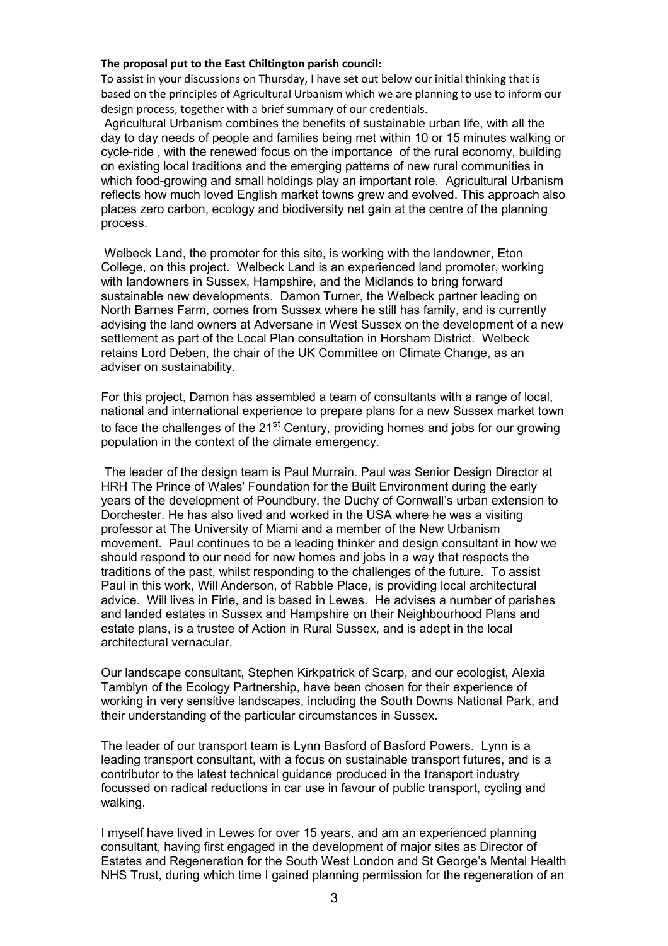## **The proposal put to the East Chiltington parish council:**

To assist in your discussions on Thursday, I have set out below our initial thinking that is based on the principles of Agricultural Urbanism which we are planning to use to inform our design process, together with a brief summary of our credentials.

Agricultural Urbanism combines the benefits of sustainable urban life, with all the day to day needs of people and families being met within 10 or 15 minutes walking or cycle-ride , with the renewed focus on the importance of the rural economy, building on existing local traditions and the emerging patterns of new rural communities in which food-growing and small holdings play an important role. Agricultural Urbanism reflects how much loved English market towns grew and evolved. This approach also places zero carbon, ecology and biodiversity net gain at the centre of the planning process.

Welbeck Land, the promoter for this site, is working with the landowner, Eton College, on this project. Welbeck Land is an experienced land promoter, working with landowners in Sussex, Hampshire, and the Midlands to bring forward sustainable new developments. Damon Turner, the Welbeck partner leading on North Barnes Farm, comes from Sussex where he still has family, and is currently advising the land owners at Adversane in West Sussex on the development of a new settlement as part of the Local Plan consultation in Horsham District. Welbeck retains Lord Deben, the chair of the UK Committee on Climate Change, as an adviser on sustainability.

For this project, Damon has assembled a team of consultants with a range of local, national and international experience to prepare plans for a new Sussex market town to face the challenges of the 21<sup>st</sup> Century, providing homes and jobs for our growing population in the context of the climate emergency.

The leader of the design team is Paul Murrain. Paul was Senior Design Director at HRH The Prince of Wales' Foundation for the Built Environment during the early years of the development of Poundbury, the Duchy of Cornwall's urban extension to Dorchester. He has also lived and worked in the USA where he was a visiting professor at The University of Miami and a member of the New Urbanism movement. Paul continues to be a leading thinker and design consultant in how we should respond to our need for new homes and jobs in a way that respects the traditions of the past, whilst responding to the challenges of the future. To assist Paul in this work, Will Anderson, of Rabble Place, is providing local architectural advice. Will lives in Firle, and is based in Lewes. He advises a number of parishes and landed estates in Sussex and Hampshire on their Neighbourhood Plans and estate plans, is a trustee of Action in Rural Sussex, and is adept in the local architectural vernacular.

Our landscape consultant, Stephen Kirkpatrick of Scarp, and our ecologist, Alexia Tamblyn of the Ecology Partnership, have been chosen for their experience of working in very sensitive landscapes, including the South Downs National Park, and their understanding of the particular circumstances in Sussex.

The leader of our transport team is Lynn Basford of Basford Powers. Lynn is a leading transport consultant, with a focus on sustainable transport futures, and is a contributor to the latest technical guidance produced in the transport industry focussed on radical reductions in car use in favour of public transport, cycling and walking.

I myself have lived in Lewes for over 15 years, and am an experienced planning consultant, having first engaged in the development of major sites as Director of Estates and Regeneration for the South West London and St George's Mental Health NHS Trust, during which time I gained planning permission for the regeneration of an